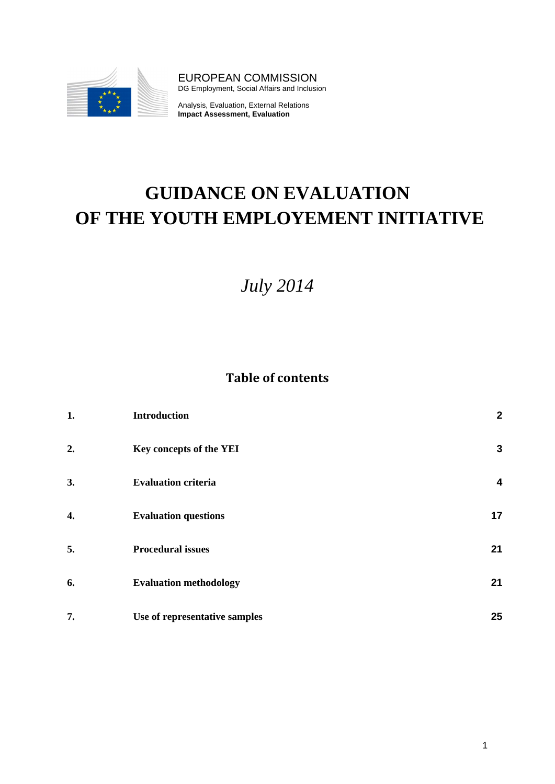

EUROPEAN COMMISSION DG Employment, Social Affairs and Inclusion

Analysis, Evaluation, External Relations **Impact Assessment, Evaluation**

# **GUIDANCE ON EVALUATION OF THE YOUTH EMPLOYEMENT INITIATIVE**

## *July 2014*

## **Table of contents**

| 1. | <b>Introduction</b>           | $\boldsymbol{2}$ |
|----|-------------------------------|------------------|
| 2. | Key concepts of the YEI       | $\mathbf{3}$     |
| 3. | <b>Evaluation criteria</b>    | $\boldsymbol{4}$ |
| 4. | <b>Evaluation questions</b>   | 17               |
| 5. | <b>Procedural issues</b>      | 21               |
| 6. | <b>Evaluation methodology</b> | 21               |
| 7. | Use of representative samples | 25               |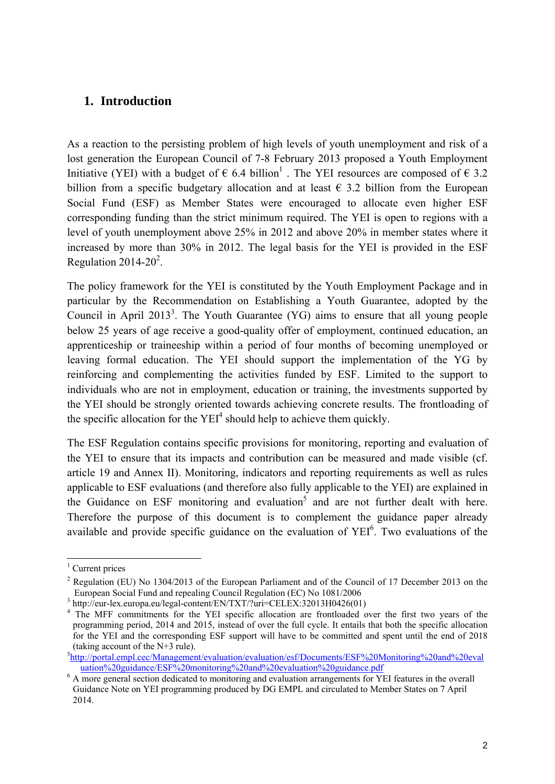## <span id="page-1-0"></span>**1. Introduction**

As a reaction to the persisting problem of high levels of youth unemployment and risk of a lost generation the European Council of 7-8 February 2013 proposed a Youth Employment Initiative (YEI) with a budget of  $\epsilon$  6.4 billion<sup>1</sup>. The YEI resources are composed of  $\epsilon$  3.2 billion from a specific budgetary allocation and at least  $\epsilon$  3.2 billion from the European Social Fund (ESF) as Member States were encouraged to allocate even higher ESF corresponding funding than the strict minimum required. The YEI is open to regions with a level of youth unemployment above 25% in 2012 and above 20% in member states where it increased by more than 30% in 2012. The legal basis for the YEI is provided in the ESF Regulation  $2014 - 20^2$ .

The policy framework for the YEI is constituted by the Youth Employment Package and in particular by the Recommendation on Establishing a Youth Guarantee, adopted by the Council in April 2013<sup>3</sup>. The Youth Guarantee (YG) aims to ensure that all young people below 25 years of age receive a good-quality offer of employment, continued education, an apprenticeship or traineeship within a period of four months of becoming unemployed or leaving formal education. The YEI should support the implementation of the YG by reinforcing and complementing the activities funded by ESF. Limited to the support to individuals who are not in employment, education or training, the investments supported by the YEI should be strongly oriented towards achieving concrete results. The frontloading of the specific allocation for the  $YEI<sup>4</sup>$  should help to achieve them quickly.

The ESF Regulation contains specific provisions for monitoring, reporting and evaluation of the YEI to ensure that its impacts and contribution can be measured and made visible (cf. article 19 and Annex II). Monitoring, indicators and reporting requirements as well as rules applicable to ESF evaluations (and therefore also fully applicable to the YEI) are explained in the Guidance on ESF monitoring and evaluation<sup>5</sup> and are not further dealt with here. Therefore the purpose of this document is to complement the guidance paper already available and provide specific guidance on the evaluation of  $YEI<sup>6</sup>$ . Two evaluations of the

1

<sup>&</sup>lt;sup>1</sup> Current prices

<sup>&</sup>lt;sup>2</sup> Regulation (EU) No 1304/2013 of the European Parliament and of the Council of 17 December 2013 on the European Social Fund and repealing Council Regulation (EC) No 1081/2006<sup>3</sup> http://eur-lex.europa.eu/legal-content/EN/TXT/?uri=CELEX:32013H0426(01)

 $\frac{4}{1}$  The MFF commitments for the YEI specific allocation are frontloaded over the first two years of the programming period, 2014 and 2015, instead of over the full cycle. It entails that both the specific allocation for the YEI and the corresponding ESF support will have to be committed and spent until the end of 2018 (taking account of the N+3 rule).

<sup>5</sup> [http://portal.empl.cec/Management/evaluation/evaluation/esf/Documents/ESF%20Monitoring%20and%20eval](http://portal.empl.cec/Management/evaluation/evaluation/esf/Documents/ESF%20Monitoring%20and%20evaluation%20guidance/ESF%20monitoring%20and%20evaluation%20guidance.pdf) [uation%20guidance/ESF%20monitoring%20and%20evaluation%20guidance.pdf](http://portal.empl.cec/Management/evaluation/evaluation/esf/Documents/ESF%20Monitoring%20and%20evaluation%20guidance/ESF%20monitoring%20and%20evaluation%20guidance.pdf) <sup>6</sup> A more general section dedicated to monitoring and evaluation arrangements for YEI features in the overall

Guidance Note on YEI programming produced by DG EMPL and circulated to Member States on 7 April 2014.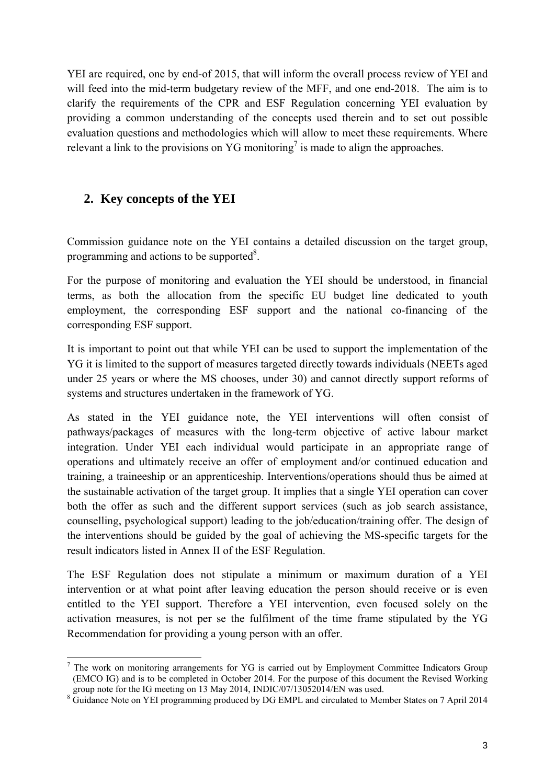YEI are required, one by end-of 2015, that will inform the overall process review of YEI and will feed into the mid-term budgetary review of the MFF, and one end-2018. The aim is to clarify the requirements of the CPR and ESF Regulation concerning YEI evaluation by providing a common understanding of the concepts used therein and to set out possible evaluation questions and methodologies which will allow to meet these requirements. Where relevant a link to the provisions on YG monitoring<sup>7</sup> is made to align the approaches.

## <span id="page-2-0"></span>**2. Key concepts of the YEI**

Commission guidance note on the YEI contains a detailed discussion on the target group, programming and actions to be supported $8$ .

For the purpose of monitoring and evaluation the YEI should be understood, in financial terms, as both the allocation from the specific EU budget line dedicated to youth employment, the corresponding ESF support and the national co-financing of the corresponding ESF support.

It is important to point out that while YEI can be used to support the implementation of the YG it is limited to the support of measures targeted directly towards individuals (NEETs aged under 25 years or where the MS chooses, under 30) and cannot directly support reforms of systems and structures undertaken in the framework of YG.

As stated in the YEI guidance note, the YEI interventions will often consist of pathways/packages of measures with the long-term objective of active labour market integration. Under YEI each individual would participate in an appropriate range of operations and ultimately receive an offer of employment and/or continued education and training, a traineeship or an apprenticeship. Interventions/operations should thus be aimed at the sustainable activation of the target group. It implies that a single YEI operation can cover both the offer as such and the different support services (such as job search assistance, counselling, psychological support) leading to the job/education/training offer. The design of the interventions should be guided by the goal of achieving the MS-specific targets for the result indicators listed in Annex II of the ESF Regulation.

The ESF Regulation does not stipulate a minimum or maximum duration of a YEI intervention or at what point after leaving education the person should receive or is even entitled to the YEI support. Therefore a YEI intervention, even focused solely on the activation measures, is not per se the fulfilment of the time frame stipulated by the YG Recommendation for providing a young person with an offer.

<sup>1</sup> <sup>7</sup> The work on monitoring arrangements for YG is carried out by Employment Committee Indicators Group (EMCO IG) and is to be completed in October 2014. For the purpose of this document the Revised Working group note for the IG meeting on 13 May 2014, INDIC/07/13052014/EN was used.

<sup>&</sup>lt;sup>8</sup> Guidance Note on YEI programming produced by DG EMPL and circulated to Member States on 7 April 2014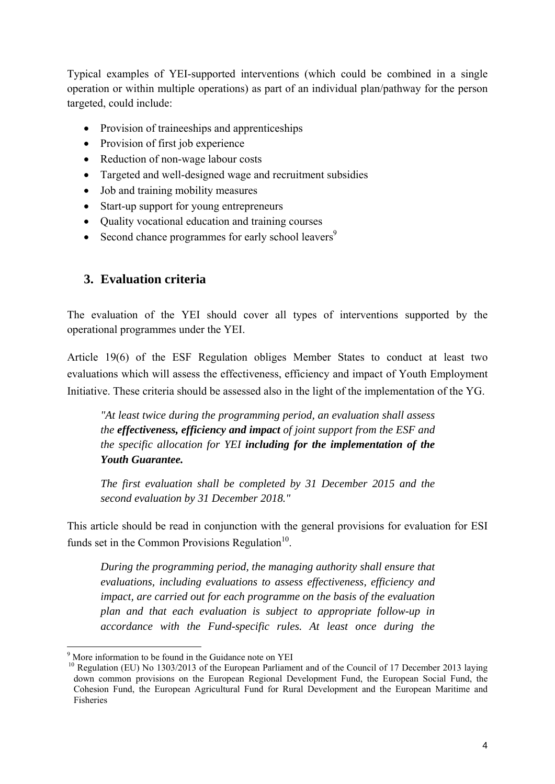Typical examples of YEI-supported interventions (which could be combined in a single operation or within multiple operations) as part of an individual plan/pathway for the person targeted, could include:

- Provision of traineeships and apprenticeships
- Provision of first job experience
- Reduction of non-wage labour costs
- Targeted and well-designed wage and recruitment subsidies
- Job and training mobility measures
- Start-up support for young entrepreneurs
- Quality vocational education and training courses
- Second chance programmes for early school leavers<sup>9</sup>

## **3. Evaluation criteria**

<span id="page-3-0"></span>The evaluation of the YEI should cover all types of interventions supported by the operational programmes under the YEI.

Article 19(6) of the ESF Regulation obliges Member States to conduct at least two evaluations which will assess the effectiveness, efficiency and impact of Youth Employment Initiative. These criteria should be assessed also in the light of the implementation of the YG.

*"At least twice during the programming period, an evaluation shall assess the effectiveness, efficiency and impact of joint support from the ESF and the specific allocation for YEI including for the implementation of the Youth Guarantee.* 

*The first evaluation shall be completed by 31 December 2015 and the second evaluation by 31 December 2018."* 

This article should be read in conjunction with the general provisions for evaluation for ESI funds set in the Common Provisions Regulation $10$ .

*During the programming period, the managing authority shall ensure that evaluations, including evaluations to assess effectiveness, efficiency and impact, are carried out for each programme on the basis of the evaluation plan and that each evaluation is subject to appropriate follow-up in accordance with the Fund-specific rules. At least once during the* 

1

<sup>&</sup>lt;sup>9</sup> More information to be found in the Guidance note on YEI

<sup>&</sup>lt;sup>10</sup> Regulation (EU) No 1303/2013 of the European Parliament and of the Council of 17 December 2013 laying down common provisions on the European Regional Development Fund, the European Social Fund, the Cohesion Fund, the European Agricultural Fund for Rural Development and the European Maritime and Fisheries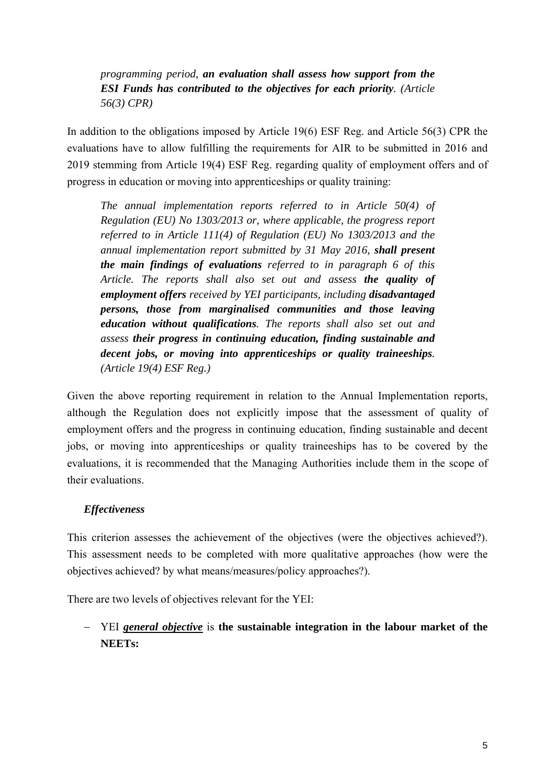*programming period, an evaluation shall assess how support from the ESI Funds has contributed to the objectives for each priority. (Article 56(3) CPR)* 

In addition to the obligations imposed by Article 19(6) ESF Reg. and Article 56(3) CPR the evaluations have to allow fulfilling the requirements for AIR to be submitted in 2016 and 2019 stemming from Article 19(4) ESF Reg. regarding quality of employment offers and of progress in education or moving into apprenticeships or quality training:

*The annual implementation reports referred to in Article 50(4) of Regulation (EU) No 1303/2013 or, where applicable, the progress report referred to in Article 111(4) of Regulation (EU) No 1303/2013 and the annual implementation report submitted by 31 May 2016, shall present the main findings of evaluations referred to in paragraph 6 of this Article. The reports shall also set out and assess the quality of employment offers received by YEI participants, including disadvantaged persons, those from marginalised communities and those leaving education without qualifications. The reports shall also set out and assess their progress in continuing education, finding sustainable and decent jobs, or moving into apprenticeships or quality traineeships. (Article 19(4) ESF Reg.)* 

Given the above reporting requirement in relation to the Annual Implementation reports, although the Regulation does not explicitly impose that the assessment of quality of employment offers and the progress in continuing education, finding sustainable and decent jobs, or moving into apprenticeships or quality traineeships has to be covered by the evaluations, it is recommended that the Managing Authorities include them in the scope of their evaluations.

#### *Effectiveness*

This criterion assesses the achievement of the objectives (were the objectives achieved?). This assessment needs to be completed with more qualitative approaches (how were the objectives achieved? by what means/measures/policy approaches?).

There are two levels of objectives relevant for the YEI:

## − YEI *general objective* is **the sustainable integration in the labour market of the NEETs:**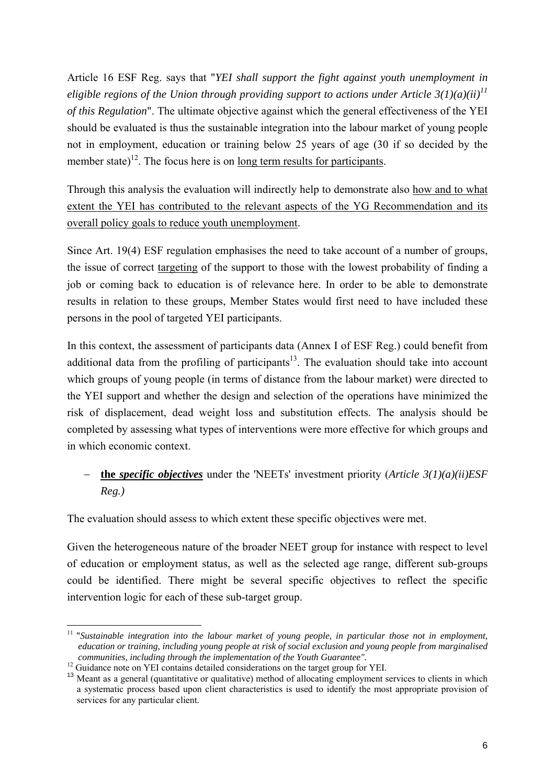Article 16 ESF Reg. says that "*YEI shall support the fight against youth unemployment in eligible regions of the Union through providing support to actions under Article 3(1)(a)(ii)<sup>11</sup> of this Regulation*". The ultimate objective against which the general effectiveness of the YEI should be evaluated is thus the sustainable integration into the labour market of young people not in employment, education or training below 25 years of age (30 if so decided by the member state)<sup>12</sup>. The focus here is on long term results for participants.

Through this analysis the evaluation will indirectly help to demonstrate also how and to what extent the YEI has contributed to the relevant aspects of the YG Recommendation and its overall policy goals to reduce youth unemployment.

Since Art. 19(4) ESF regulation emphasises the need to take account of a number of groups, the issue of correct targeting of the support to those with the lowest probability of finding a job or coming back to education is of relevance here. In order to be able to demonstrate results in relation to these groups, Member States would first need to have included these persons in the pool of targeted YEI participants.

In this context, the assessment of participants data (Annex I of ESF Reg.) could benefit from additional data from the profiling of participants $13$ . The evaluation should take into account which groups of young people (in terms of distance from the labour market) were directed to the YEI support and whether the design and selection of the operations have minimized the risk of displacement, dead weight loss and substitution effects. The analysis should be completed by assessing what types of interventions were more effective for which groups and in which economic context.

## − **the** *specific objectives* under the 'NEETs' investment priority (*Article 3(1)(a)(ii)ESF Reg.)*

The evaluation should assess to which extent these specific objectives were met.

Given the heterogeneous nature of the broader NEET group for instance with respect to level of education or employment status, as well as the selected age range, different sub-groups could be identified. There might be several specific objectives to reflect the specific intervention logic for each of these sub-target group.

<sup>1</sup> <sup>11</sup> "Sustainable integration into the labour market of young people, in particular those not in employment, *education or training, including young people at risk of social exclusion and young people from marginalised* 

*communities, including through the implementation of the Youth Guarantee".* <sup>12</sup> Guidance note on YEI contains detailed considerations on the target group for YEI.

<sup>&</sup>lt;sup>13</sup> Meant as a general (quantitative or qualitative) method of allocating employment services to clients in which a systematic process based upon client characteristics is used to identify the most appropriate provision of services for any particular client.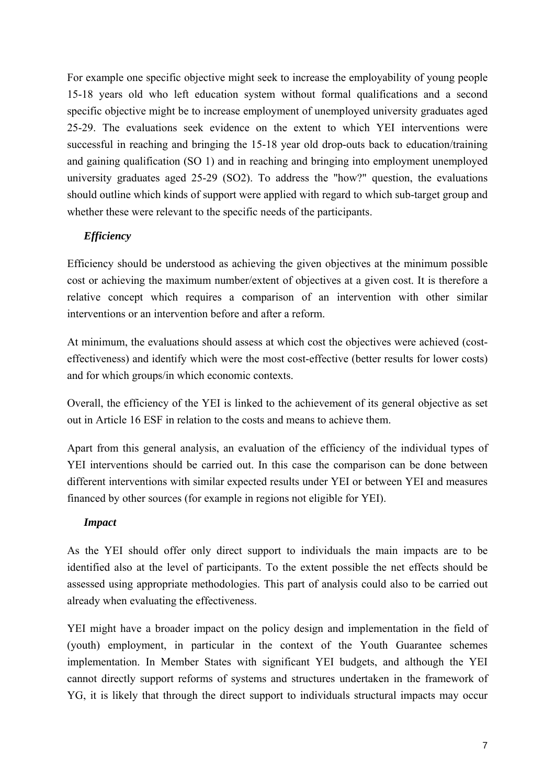For example one specific objective might seek to increase the employability of young people 15-18 years old who left education system without formal qualifications and a second specific objective might be to increase employment of unemployed university graduates aged 25-29. The evaluations seek evidence on the extent to which YEI interventions were successful in reaching and bringing the 15-18 year old drop-outs back to education/training and gaining qualification (SO 1) and in reaching and bringing into employment unemployed university graduates aged 25-29 (SO2). To address the "how?" question, the evaluations should outline which kinds of support were applied with regard to which sub-target group and whether these were relevant to the specific needs of the participants.

## *Efficiency*

Efficiency should be understood as achieving the given objectives at the minimum possible cost or achieving the maximum number/extent of objectives at a given cost. It is therefore a relative concept which requires a comparison of an intervention with other similar interventions or an intervention before and after a reform.

At minimum, the evaluations should assess at which cost the objectives were achieved (costeffectiveness) and identify which were the most cost-effective (better results for lower costs) and for which groups/in which economic contexts.

Overall, the efficiency of the YEI is linked to the achievement of its general objective as set out in Article 16 ESF in relation to the costs and means to achieve them.

Apart from this general analysis, an evaluation of the efficiency of the individual types of YEI interventions should be carried out. In this case the comparison can be done between different interventions with similar expected results under YEI or between YEI and measures financed by other sources (for example in regions not eligible for YEI).

## *Impact*

As the YEI should offer only direct support to individuals the main impacts are to be identified also at the level of participants. To the extent possible the net effects should be assessed using appropriate methodologies. This part of analysis could also to be carried out already when evaluating the effectiveness.

YEI might have a broader impact on the policy design and implementation in the field of (youth) employment, in particular in the context of the Youth Guarantee schemes implementation. In Member States with significant YEI budgets, and although the YEI cannot directly support reforms of systems and structures undertaken in the framework of YG, it is likely that through the direct support to individuals structural impacts may occur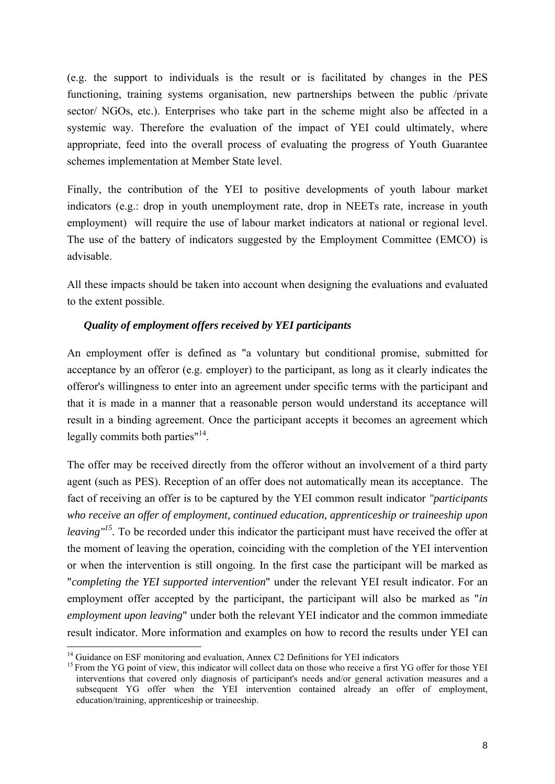(e.g. the support to individuals is the result or is facilitated by changes in the PES functioning, training systems organisation, new partnerships between the public /private sector/ NGOs, etc.). Enterprises who take part in the scheme might also be affected in a systemic way. Therefore the evaluation of the impact of YEI could ultimately, where appropriate, feed into the overall process of evaluating the progress of Youth Guarantee schemes implementation at Member State level.

Finally, the contribution of the YEI to positive developments of youth labour market indicators (e.g.: drop in youth unemployment rate, drop in NEETs rate, increase in youth employment) will require the use of labour market indicators at national or regional level. The use of the battery of indicators suggested by the Employment Committee (EMCO) is advisable.

All these impacts should be taken into account when designing the evaluations and evaluated to the extent possible.

#### *Quality of employment offers received by YEI participants*

An employment offer is defined as "a voluntary but conditional promise, submitted for acceptance by an offeror (e.g. employer) to the participant, as long as it clearly indicates the offeror's willingness to enter into an agreement under specific terms with the participant and that it is made in a manner that a reasonable person would understand its acceptance will result in a binding agreement. Once the participant accepts it becomes an agreement which legally commits both parties"<sup>14</sup>.

The offer may be received directly from the offeror without an involvement of a third party agent (such as PES). Reception of an offer does not automatically mean its acceptance. The fact of receiving an offer is to be captured by the YEI common result indicator *"participants who receive an offer of employment, continued education, apprenticeship or traineeship upon leaving*<sup> $15$ </sup>. To be recorded under this indicator the participant must have received the offer at the moment of leaving the operation, coinciding with the completion of the YEI intervention or when the intervention is still ongoing. In the first case the participant will be marked as "*completing the YEI supported intervention*" under the relevant YEI result indicator. For an employment offer accepted by the participant, the participant will also be marked as "*in employment upon leaving*" under both the relevant YEI indicator and the common immediate result indicator. More information and examples on how to record the results under YEI can 1

<sup>&</sup>lt;sup>14</sup> Guidance on ESF monitoring and evaluation, Annex C2 Definitions for YEI indicators

<sup>&</sup>lt;sup>15</sup> From the YG point of view, this indicator will collect data on those who receive a first YG offer for those YEI interventions that covered only diagnosis of participant's needs and/or general activation measures and a subsequent YG offer when the YEI intervention contained already an offer of employment, education/training, apprenticeship or traineeship.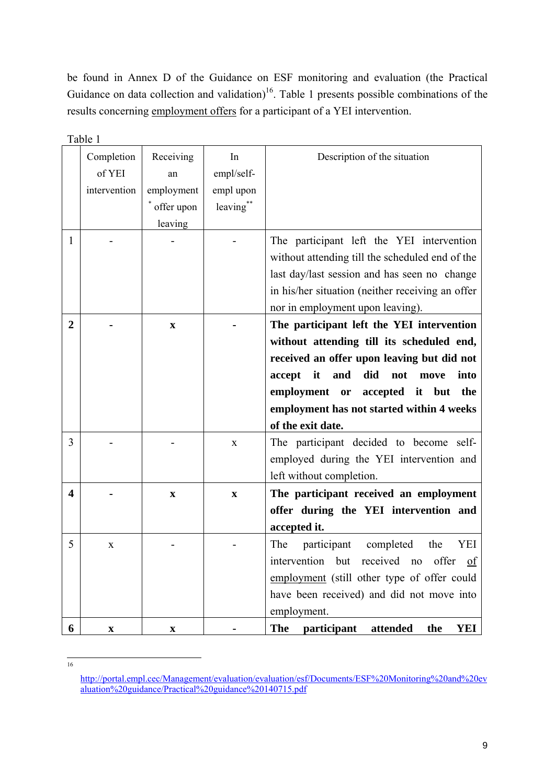b[e found in Annex D of the Guidance on ESF monitoring and evaluation \(the Practical](http://portal.empl.cec/Management/evaluation/evaluation/esf/Documents/ESF%20Monitoring%20and%20evaluation%20guidance/Practical%20guidance%20140715.pdf)  Guidance on data collection and validation)<sup>16</sup>. Table 1 presents possible combinations of the results concerning employment offers for a participant of a YEI intervention.

|                | Table 1                   |             |             |                                                   |
|----------------|---------------------------|-------------|-------------|---------------------------------------------------|
|                | Completion                | Receiving   | In          | Description of the situation                      |
|                | of YEI                    | an          | empl/self-  |                                                   |
|                | intervention              | employment  | empl upon   |                                                   |
|                |                           | offer upon  | leaving**   |                                                   |
|                |                           | leaving     |             |                                                   |
| 1              |                           |             |             | The participant left the YEI intervention         |
|                |                           |             |             | without attending till the scheduled end of the   |
|                |                           |             |             | last day/last session and has seen no change      |
|                |                           |             |             | in his/her situation (neither receiving an offer  |
|                |                           |             |             | nor in employment upon leaving).                  |
| $\overline{2}$ |                           | $\mathbf X$ |             | The participant left the YEI intervention         |
|                |                           |             |             | without attending till its scheduled end,         |
|                |                           |             |             | received an offer upon leaving but did not        |
|                |                           |             |             | accept<br>it<br>and<br>did<br>not<br>move<br>into |
|                |                           |             |             | employment or<br>accepted it but<br>the           |
|                |                           |             |             | employment has not started within 4 weeks         |
|                |                           |             |             | of the exit date.                                 |
| 3              |                           |             | $\mathbf X$ | The participant decided to become self-           |
|                |                           |             |             | employed during the YEI intervention and          |
|                |                           |             |             | left without completion.                          |
| 4              |                           | X           | X           | The participant received an employment            |
|                |                           |             |             | offer during the YEI intervention and             |
|                |                           |             |             | accepted it.                                      |
| 5              | X                         |             |             | The<br>participant<br>YEI<br>the<br>completed     |
|                |                           |             |             | intervention but received no<br>offer<br>of       |
|                |                           |             |             | employment (still other type of offer could       |
|                |                           |             |             | have been received) and did not move into         |
|                |                           |             |             | employment.                                       |
| 6              | $\boldsymbol{\mathrm{X}}$ | $\mathbf X$ |             | The<br>participant<br>attended<br>the<br>YEI      |

 $\frac{1}{16}$ 

http://portal.empl.cec/Management/evaluation/evaluation/esf/Documents/ESF%20Monitoring%20and%20ev [aluation%20guidance/Practical%20guidance%20140715.pdf](http://portal.empl.cec/Management/evaluation/evaluation/esf/Documents/ESF%20Monitoring%20and%20evaluation%20guidance/Practical%20guidance%20140715.pdf)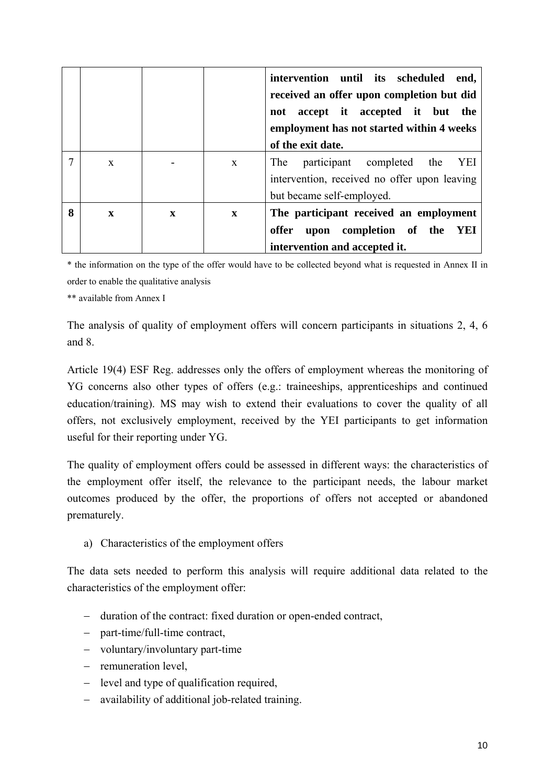|   |              |              |              | intervention until its scheduled<br>end,<br>received an offer upon completion but did<br>not accept it accepted it but the<br>employment has not started within 4 weeks<br>of the exit date. |
|---|--------------|--------------|--------------|----------------------------------------------------------------------------------------------------------------------------------------------------------------------------------------------|
| 7 | $\mathbf{x}$ |              | $\mathbf{x}$ | participant completed the<br>YEI<br>The<br>intervention, received no offer upon leaving<br>but became self-employed.                                                                         |
| 8 | $\mathbf{x}$ | $\mathbf{x}$ | $\mathbf{x}$ | The participant received an employment<br>upon completion of the<br>YEI<br>offer<br>intervention and accepted it.                                                                            |

\* the information on the type of the offer would have to be collected beyond what is requested in Annex II in order to enable the qualitative analysis

\*\* available from Annex I

The analysis of quality of employment offers will concern participants in situations 2, 4, 6 and 8.

Article 19(4) ESF Reg. addresses only the offers of employment whereas the monitoring of YG concerns also other types of offers (e.g.: traineeships, apprenticeships and continued education/training). MS may wish to extend their evaluations to cover the quality of all offers, not exclusively employment, received by the YEI participants to get information useful for their reporting under YG.

The quality of employment offers could be assessed in different ways: the characteristics of the employment offer itself, the relevance to the participant needs, the labour market outcomes produced by the offer, the proportions of offers not accepted or abandoned prematurely.

a) Characteristics of the employment offers

The data sets needed to perform this analysis will require additional data related to the characteristics of the employment offer:

- − duration of the contract: fixed duration or open-ended contract,
- − part-time/full-time contract,
- − voluntary/involuntary part-time
- − remuneration level,
- − level and type of qualification required,
- − availability of additional job-related training.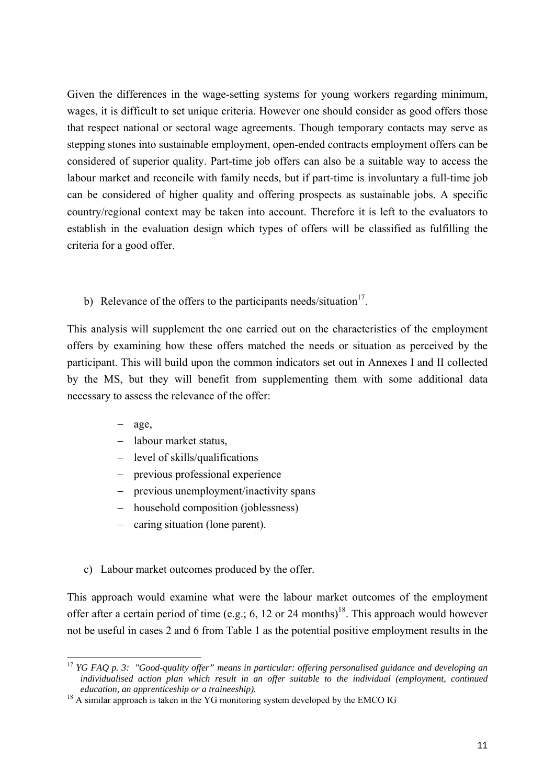Given the differences in the wage-setting systems for young workers regarding minimum, wages, it is difficult to set unique criteria. However one should consider as good offers those that respect national or sectoral wage agreements. Though temporary contacts may serve as stepping stones into sustainable employment, open-ended contracts employment offers can be considered of superior quality. Part-time job offers can also be a suitable way to access the labour market and reconcile with family needs, but if part-time is involuntary a full-time job can be considered of higher quality and offering prospects as sustainable jobs. A specific country/regional context may be taken into account. Therefore it is left to the evaluators to establish in the evaluation design which types of offers will be classified as fulfilling the criteria for a good offer.

b) Relevance of the offers to the participants needs/situation $17$ .

This analysis will supplement the one carried out on the characteristics of the employment offers by examining how these offers matched the needs or situation as perceived by the participant. This will build upon the common indicators set out in Annexes I and II collected by the MS, but they will benefit from supplementing them with some additional data necessary to assess the relevance of the offer:

− age,

1

- − labour market status,
- level of skills/qualifications
- previous professional experience
- previous unemployment/inactivity spans
- household composition (joblessness)
- − caring situation (lone parent).
- c) Labour market outcomes produced by the offer.

This approach would examine what were the labour market outcomes of the employment offer after a certain period of time (e.g.; 6, 12 or 24 months)<sup>18</sup>. This approach would however not be useful in cases 2 and 6 from Table 1 as the potential positive employment results in the

<sup>17</sup> *YG FAQ p. 3: "Good-quality offer" means in particular: offering personalised guidance and developing an*  individualised action plan which result in an offer suitable to the individual (employment, continued *education, an apprenticeship or a traineeship).* <sup>18</sup> A similar approach is taken in the YG monitoring system developed by the EMCO IG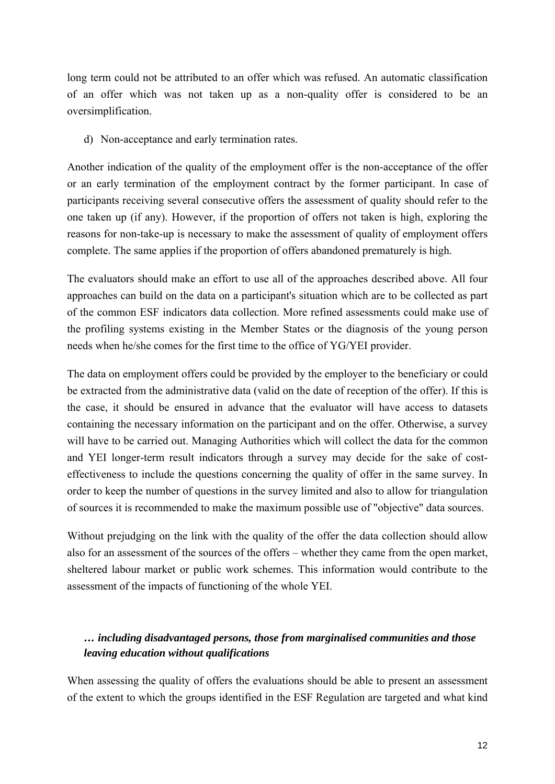long term could not be attributed to an offer which was refused. An automatic classification of an offer which was not taken up as a non-quality offer is considered to be an oversimplification.

d) Non-acceptance and early termination rates.

Another indication of the quality of the employment offer is the non-acceptance of the offer or an early termination of the employment contract by the former participant. In case of participants receiving several consecutive offers the assessment of quality should refer to the one taken up (if any). However, if the proportion of offers not taken is high, exploring the reasons for non-take-up is necessary to make the assessment of quality of employment offers complete. The same applies if the proportion of offers abandoned prematurely is high.

The evaluators should make an effort to use all of the approaches described above. All four approaches can build on the data on a participant's situation which are to be collected as part of the common ESF indicators data collection. More refined assessments could make use of the profiling systems existing in the Member States or the diagnosis of the young person needs when he/she comes for the first time to the office of YG/YEI provider.

The data on employment offers could be provided by the employer to the beneficiary or could be extracted from the administrative data (valid on the date of reception of the offer). If this is the case, it should be ensured in advance that the evaluator will have access to datasets containing the necessary information on the participant and on the offer. Otherwise, a survey will have to be carried out. Managing Authorities which will collect the data for the common and YEI longer-term result indicators through a survey may decide for the sake of costeffectiveness to include the questions concerning the quality of offer in the same survey. In order to keep the number of questions in the survey limited and also to allow for triangulation of sources it is recommended to make the maximum possible use of "objective" data sources.

Without prejudging on the link with the quality of the offer the data collection should allow also for an assessment of the sources of the offers – whether they came from the open market, sheltered labour market or public work schemes. This information would contribute to the assessment of the impacts of functioning of the whole YEI.

## *… including disadvantaged persons, those from marginalised communities and those leaving education without qualifications*

When assessing the quality of offers the evaluations should be able to present an assessment of the extent to which the groups identified in the ESF Regulation are targeted and what kind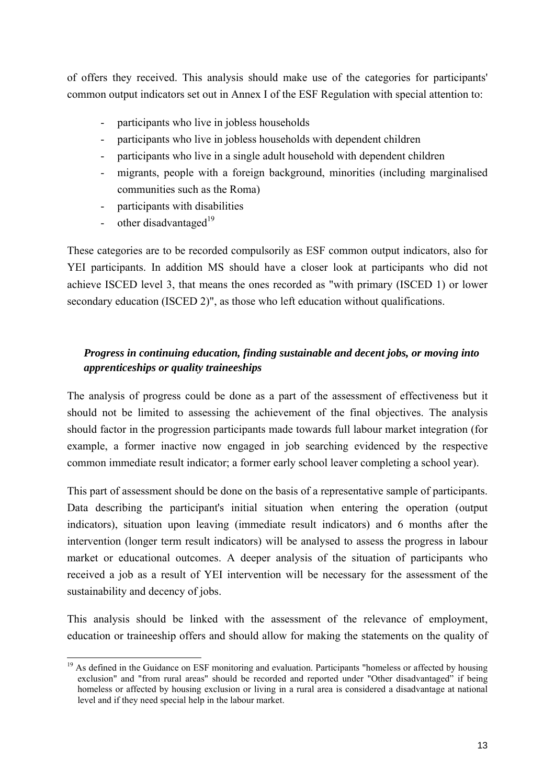of offers they received. This analysis should make use of the categories for participants' common output indicators set out in Annex I of the ESF Regulation with special attention to:

- participants who live in jobless households
- participants who live in jobless households with dependent children
- participants who live in a single adult household with dependent children
- migrants, people with a foreign background, minorities (including marginalised communities such as the Roma)
- participants with disabilities
- other disadvantaged<sup>19</sup>

These categories are to be recorded compulsorily as ESF common output indicators, also for YEI participants. In addition MS should have a closer look at participants who did not achieve ISCED level 3, that means the ones recorded as "with primary (ISCED 1) or lower secondary education (ISCED 2)", as those who left education without qualifications.

## *Progress in continuing education, finding sustainable and decent jobs, or moving into apprenticeships or quality traineeships*

The analysis of progress could be done as a part of the assessment of effectiveness but it should not be limited to assessing the achievement of the final objectives. The analysis should factor in the progression participants made towards full labour market integration (for example, a former inactive now engaged in job searching evidenced by the respective common immediate result indicator; a former early school leaver completing a school year).

This part of assessment should be done on the basis of a representative sample of participants. Data describing the participant's initial situation when entering the operation (output indicators), situation upon leaving (immediate result indicators) and 6 months after the intervention (longer term result indicators) will be analysed to assess the progress in labour market or educational outcomes. A deeper analysis of the situation of participants who received a job as a result of YEI intervention will be necessary for the assessment of the sustainability and decency of jobs.

This analysis should be linked with the assessment of the relevance of employment, education or traineeship offers and should allow for making the statements on the quality of

<sup>1</sup> <sup>19</sup> As defined in the Guidance on ESF monitoring and evaluation. Participants "homeless or affected by housing exclusion" and "from rural areas" should be recorded and reported under "Other disadvantaged" if being homeless or affected by housing exclusion or living in a rural area is considered a disadvantage at national level and if they need special help in the labour market.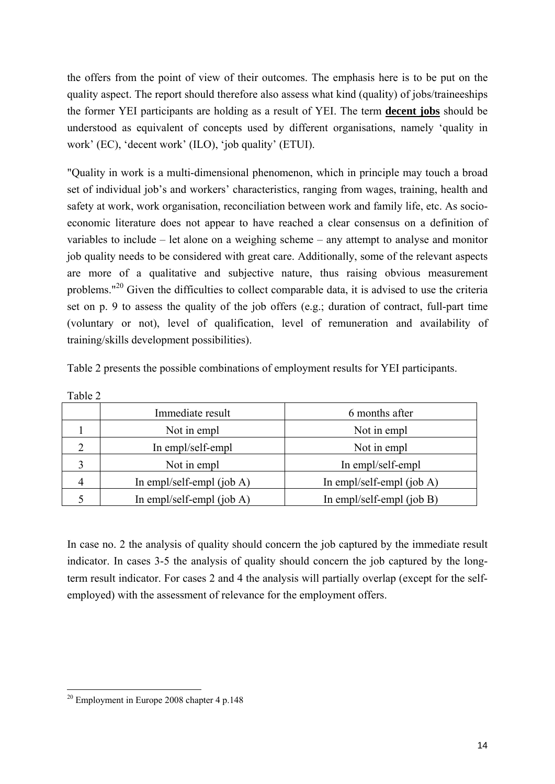the offers from the point of view of their outcomes. The emphasis here is to be put on the quality aspect. The report should therefore also assess what kind (quality) of jobs/traineeships the former YEI participants are holding as a result of YEI. The term **decent jobs** should be understood as equivalent of concepts used by different organisations, namely 'quality in work' (EC), 'decent work' (ILO), 'job quality' (ETUI).

"Quality in work is a multi-dimensional phenomenon, which in principle may touch a broad set of individual job's and workers' characteristics, ranging from wages, training, health and safety at work, work organisation, reconciliation between work and family life, etc. As socioeconomic literature does not appear to have reached a clear consensus on a definition of variables to include – let alone on a weighing scheme – any attempt to analyse and monitor job quality needs to be considered with great care. Additionally, some of the relevant aspects are more of a qualitative and subjective nature, thus raising obvious measurement problems."20 Given the difficulties to collect comparable data, it is advised to use the criteria set on p. 9 to assess the quality of the job offers (e.g.; duration of contract, full-part time (voluntary or not), level of qualification, level of remuneration and availability of training/skills development possibilities).

| Immediate result             | 6 months after               |
|------------------------------|------------------------------|
| Not in empl                  | Not in empl                  |
| In empl/self-empl            | Not in empl                  |
| Not in empl                  | In empl/self-empl            |
| In empl/self-empl (job $A$ ) | In empl/self-empl (job $A$ ) |
| In empl/self-empl $(iob A)$  | In empl/self-empl (job B)    |
|                              |                              |

Table 2 presents the possible combinations of employment results for YEI participants.

In case no. 2 the analysis of quality should concern the job captured by the immediate result indicator. In cases 3-5 the analysis of quality should concern the job captured by the longterm result indicator. For cases 2 and 4 the analysis will partially overlap (except for the selfemployed) with the assessment of relevance for the employment offers.

Table 2

1

 $20$  Employment in Europe 2008 chapter 4 p.148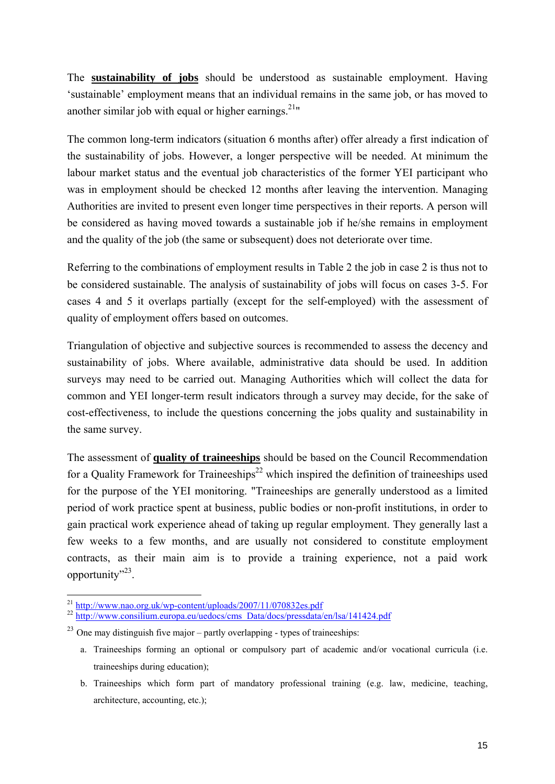The **sustainability of jobs** should be understood as sustainable employment. Having 'sustainable' employment means that an individual remains in the same job, or has moved to another similar job with equal or higher earnings.<sup>21</sup>"

The common long-term indicators (situation 6 months after) offer already a first indication of the sustainability of jobs. However, a longer perspective will be needed. At minimum the labour market status and the eventual job characteristics of the former YEI participant who was in employment should be checked 12 months after leaving the intervention. Managing Authorities are invited to present even longer time perspectives in their reports. A person will be considered as having moved towards a sustainable job if he/she remains in employment and the quality of the job (the same or subsequent) does not deteriorate over time.

Referring to the combinations of employment results in Table 2 the job in case 2 is thus not to be considered sustainable. The analysis of sustainability of jobs will focus on cases 3-5. For cases 4 and 5 it overlaps partially (except for the self-employed) with the assessment of quality of employment offers based on outcomes.

Triangulation of objective and subjective sources is recommended to assess the decency and sustainability of jobs. Where available, administrative data should be used. In addition surveys may need to be carried out. Managing Authorities which will collect the data for common and YEI longer-term result indicators through a survey may decide, for the sake of cost-effectiveness, to include the questions concerning the jobs quality and sustainability in the same survey.

The assessment of **quality of traineeships** should be based on the Council Recommendation for a Quality Framework for Traineeships<sup>22</sup> which inspired the definition of traineeships used for the purpose of the YEI monitoring. "Traineeships are generally understood as a limited period of work practice spent at business, public bodies or non-profit institutions, in order to gain practical work experience ahead of taking up regular employment. They generally last a few weeks to a few months, and are usually not considered to constitute employment contracts, as their main aim is to provide a training experience, not a paid work opportunity"<sup>23</sup>.

<sup>1</sup> 

<sup>&</sup>lt;sup>21</sup> [http://www.nao.org.uk/wp-content/uploads/2007/11/0708](http://www.nao.org.uk/wp-content/uploads/2007/11/070832es.pdf)32es.pdf<br><sup>22</sup> [http://www.consilium.europa.eu/uedocs/cms\\_Data/docs/pressdata/en/lsa/141424.pdf](http://www.consilium.europa.eu/uedocs/cms_Data/docs/pressdata/en/lsa/141424.pdf)

 $^{23}$  One may distinguish five major – partly overlapping - types of traineeships:

a. Traineeships forming an optional or compulsory part of academic and/or vocational curricula (i.e. traineeships during education);

b. Traineeships which form part of mandatory professional training (e.g. law, medicine, teaching, architecture, accounting, etc.);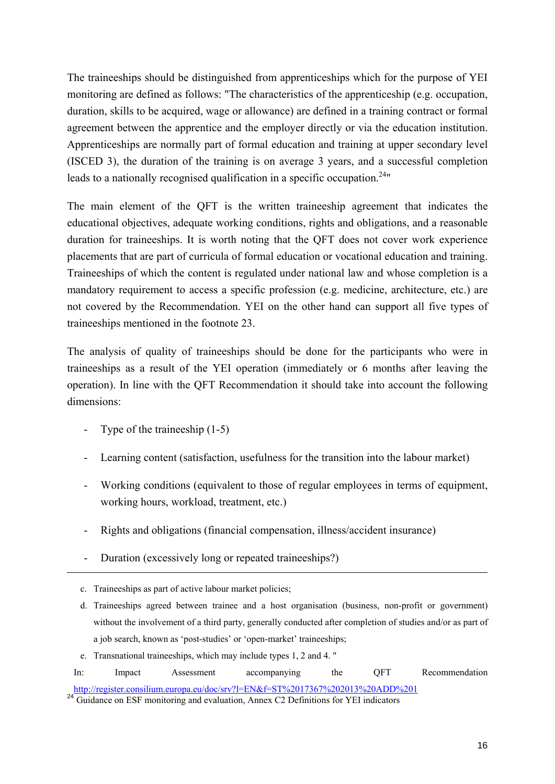The traineeships should be distinguished from apprenticeships which for the purpose of YEI monitoring are defined as follows: "The characteristics of the apprenticeship (e.g. occupation, duration, skills to be acquired, wage or allowance) are defined in a training contract or formal agreement between the apprentice and the employer directly or via the education institution. Apprenticeships are normally part of formal education and training at upper secondary level (ISCED 3), the duration of the training is on average 3 years, and a successful completion leads to a nationally recognised qualification in a specific occupation.<sup>24 $\cdot$ </sup>

The main element of the QFT is the written traineeship agreement that indicates the educational objectives, adequate working conditions, rights and obligations, and a reasonable duration for traineeships. It is worth noting that the QFT does not cover work experience placements that are part of curricula of formal education or vocational education and training. Traineeships of which the content is regulated under national law and whose completion is a mandatory requirement to access a specific profession (e.g. medicine, architecture, etc.) are not covered by the Recommendation. YEI on the other hand can support all five types of traineeships mentioned in the footnote 23.

The analysis of quality of traineeships should be done for the participants who were in traineeships as a result of the YEI operation (immediately or 6 months after leaving the operation). In line with the QFT Recommendation it should take into account the following dimensions:

Type of the traineeship  $(1-5)$ 

-

- Learning content (satisfaction, usefulness for the transition into the labour market)
- Working conditions (equivalent to those of regular employees in terms of equipment, working hours, workload, treatment, etc.)
- Rights and obligations (financial compensation, illness/accident insurance)
- Duration (excessively long or repeated traineeships?)

c. Traineeships as part of active labour market policies;

d. Traineeships agreed between trainee and a host organisation (business, non-profit or government) without the involvement of a third party, generally conducted after completion of studies and/or as part of a job search, known as 'post-studies' or 'open-market' traineeships;

e. Transnational traineeships, which may include types 1, 2 and 4. "

In: Impact Assessment accompanying the QFT Recommendation http://register.consilium.europa.eu/doc/srv?l=EN&f=ST%2017367%202013%20ADD%201

<sup>24</sup> Guidance on ESF monitoring and evaluation, Annex C2 Definitions for YEI indicators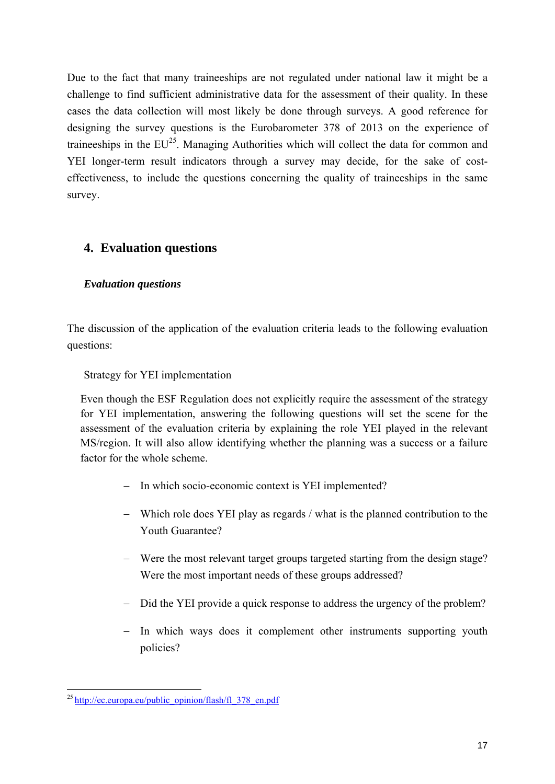Due to the fact that many traineeships are not regulated under national law it might be a challenge to find sufficient administrative data for the assessment of their quality. In these cases the data collection will most likely be done through surveys. A good reference for designing the survey questions is the Eurobarometer 378 of 2013 on the experience of traineeships in the  $EU^{25}$ . Managing Authorities which will collect the data for common and YEI longer-term result indicators through a survey may decide, for the sake of costeffectiveness, to include the questions concerning the quality of traineeships in the same survey.

## <span id="page-16-0"></span>**4. Evaluation questions**

#### *Evaluation questions*

The discussion of the application of the evaluation criteria leads to the following evaluation questions:

Strategy for YEI implementation

Even though the ESF Regulation does not explicitly require the assessment of the strategy for YEI implementation, answering the following questions will set the scene for the assessment of the evaluation criteria by explaining the role YEI played in the relevant MS/region. It will also allow identifying whether the planning was a success or a failure factor for the whole scheme.

- − In which socio-economic context is YEI implemented?
- − Which role does YEI play as regards / what is the planned contribution to the Youth Guarantee?
- − Were the most relevant target groups targeted starting from the design stage? Were the most important needs of these groups addressed?
- − Did the YEI provide a quick response to address the urgency of the problem?
- − In which ways does it complement other instruments supporting youth policies?

<sup>1</sup> <sup>25</sup> http://ec.europa.eu/public\_opinion/flash/fl\_378\_en.pdf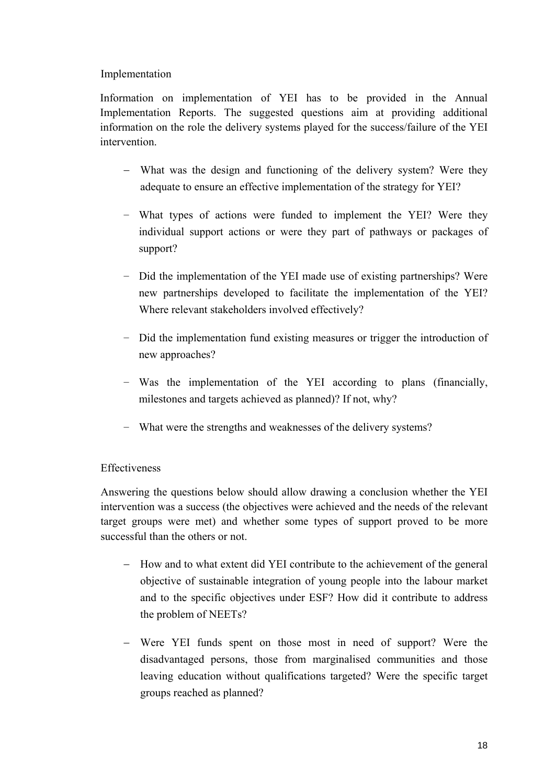#### Implementation

Information on implementation of YEI has to be provided in the Annual Implementation Reports. The suggested questions aim at providing additional information on the role the delivery systems played for the success/failure of the YEI intervention.

- − What was the design and functioning of the delivery system? Were they adequate to ensure an effective implementation of the strategy for YEI?
- − What types of actions were funded to implement the YEI? Were they individual support actions or were they part of pathways or packages of support?
- − Did the implementation of the YEI made use of existing partnerships? Were new partnerships developed to facilitate the implementation of the YEI? Where relevant stakeholders involved effectively?
- − Did the implementation fund existing measures or trigger the introduction of new approaches?
- − Was the implementation of the YEI according to plans (financially, milestones and targets achieved as planned)? If not, why?
- − What were the strengths and weaknesses of the delivery systems?

## Effectiveness

Answering the questions below should allow drawing a conclusion whether the YEI intervention was a success (the objectives were achieved and the needs of the relevant target groups were met) and whether some types of support proved to be more successful than the others or not.

- − How and to what extent did YEI contribute to the achievement of the general objective of sustainable integration of young people into the labour market and to the specific objectives under ESF? How did it contribute to address the problem of NEETs?
- − Were YEI funds spent on those most in need of support? Were the disadvantaged persons, those from marginalised communities and those leaving education without qualifications targeted? Were the specific target groups reached as planned?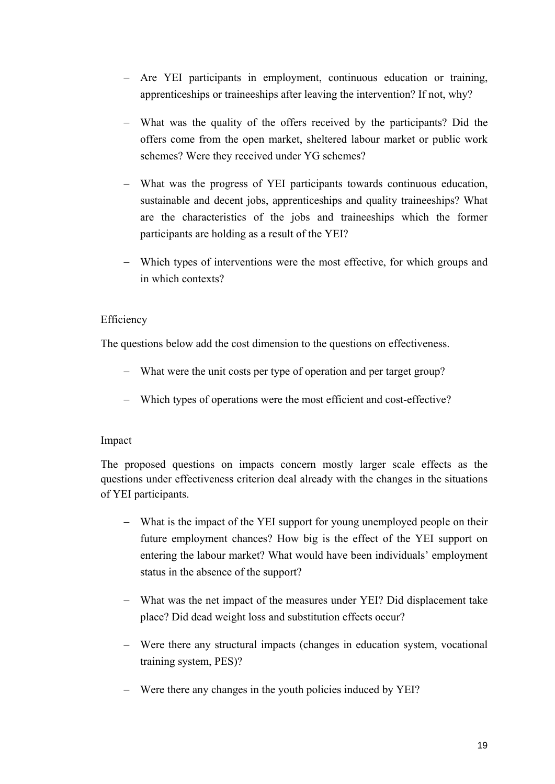- − Are YEI participants in employment, continuous education or training, apprenticeships or traineeships after leaving the intervention? If not, why?
- − What was the quality of the offers received by the participants? Did the offers come from the open market, sheltered labour market or public work schemes? Were they received under YG schemes?
- − What was the progress of YEI participants towards continuous education, sustainable and decent jobs, apprenticeships and quality traineeships? What are the characteristics of the jobs and traineeships which the former participants are holding as a result of the YEI?
- − Which types of interventions were the most effective, for which groups and in which contexts?

#### Efficiency

The questions below add the cost dimension to the questions on effectiveness.

- − What were the unit costs per type of operation and per target group?
- − Which types of operations were the most efficient and cost-effective?

#### Impact

The proposed questions on impacts concern mostly larger scale effects as the questions under effectiveness criterion deal already with the changes in the situations of YEI participants.

- − What is the impact of the YEI support for young unemployed people on their future employment chances? How big is the effect of the YEI support on entering the labour market? What would have been individuals' employment status in the absence of the support?
- − What was the net impact of the measures under YEI? Did displacement take place? Did dead weight loss and substitution effects occur?
- − Were there any structural impacts (changes in education system, vocational training system, PES)?
- − Were there any changes in the youth policies induced by YEI?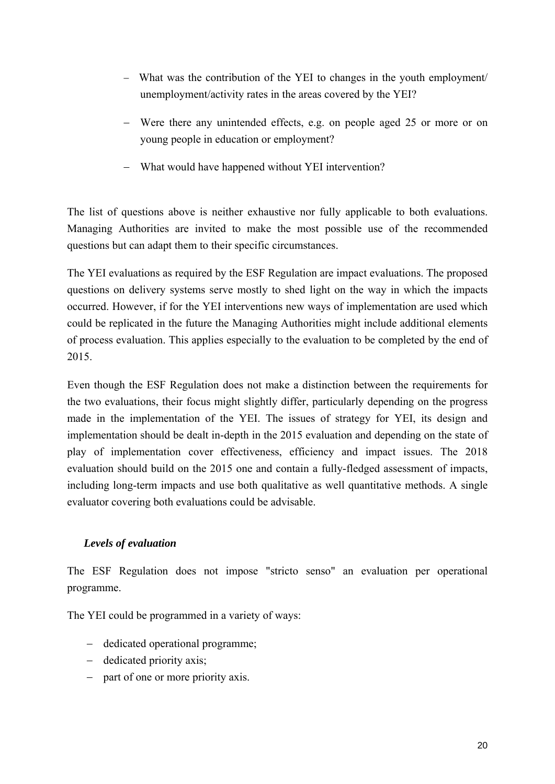- − What was the contribution of the YEI to changes in the youth employment/ unemployment/activity rates in the areas covered by the YEI?
- − Were there any unintended effects, e.g. on people aged 25 or more or on young people in education or employment?
- − What would have happened without YEI intervention?

The list of questions above is neither exhaustive nor fully applicable to both evaluations. Managing Authorities are invited to make the most possible use of the recommended questions but can adapt them to their specific circumstances.

The YEI evaluations as required by the ESF Regulation are impact evaluations. The proposed questions on delivery systems serve mostly to shed light on the way in which the impacts occurred. However, if for the YEI interventions new ways of implementation are used which could be replicated in the future the Managing Authorities might include additional elements of process evaluation. This applies especially to the evaluation to be completed by the end of 2015.

Even though the ESF Regulation does not make a distinction between the requirements for the two evaluations, their focus might slightly differ, particularly depending on the progress made in the implementation of the YEI. The issues of strategy for YEI, its design and implementation should be dealt in-depth in the 2015 evaluation and depending on the state of play of implementation cover effectiveness, efficiency and impact issues. The 2018 evaluation should build on the 2015 one and contain a fully-fledged assessment of impacts, including long-term impacts and use both qualitative as well quantitative methods. A single evaluator covering both evaluations could be advisable.

## *Levels of evaluation*

The ESF Regulation does not impose "stricto senso" an evaluation per operational programme.

The YEI could be programmed in a variety of ways:

- − dedicated operational programme;
- − dedicated priority axis;
- − part of one or more priority axis.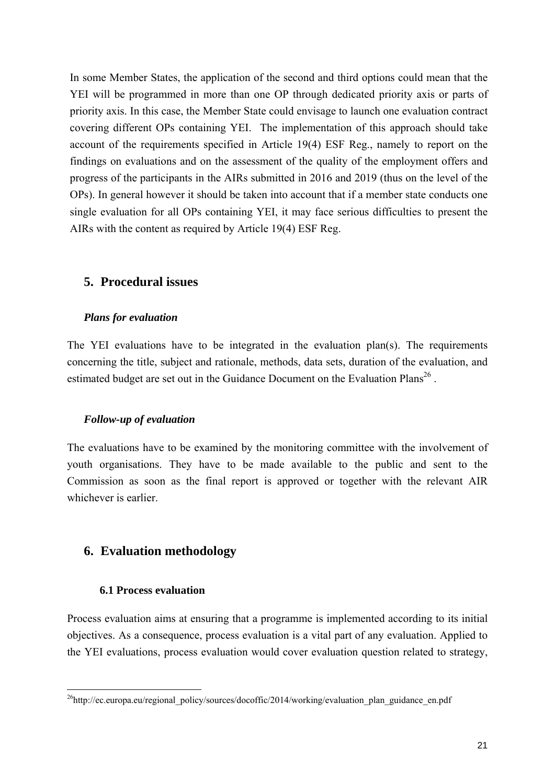In some Member States, the application of the second and third options could mean that the YEI will be programmed in more than one OP through dedicated priority axis or parts of priority axis. In this case, the Member State could envisage to launch one evaluation contract covering different OPs containing YEI. The implementation of this approach should take account of the requirements specified in Article 19(4) ESF Reg., namely to report on the findings on evaluations and on the assessment of the quality of the employment offers and progress of the participants in the AIRs submitted in 2016 and 2019 (thus on the level of the OPs). In general however it should be taken into account that if a member state conducts one single evaluation for all OPs containing YEI, it may face serious difficulties to present the AIRs with the content as required by Article 19(4) ESF Reg.

## <span id="page-20-0"></span>**5. Procedural issues**

#### *Plans for evaluation*

The YEI evaluations have to be integrated in the evaluation plan(s). The requirements concerning the title, subject and rationale, methods, data sets, duration of the evaluation, and estimated budget are set out in the Guidance Document on the Evaluation Plans<sup>26</sup>.

#### *Follow-up of evaluation*

The evaluations have to be examined by the monitoring committee with the involvement of youth organisations. They have to be made available to the public and sent to the Commission as soon as the final report is approved or together with the relevant AIR whichever is earlier.

## <span id="page-20-1"></span>**6. Evaluation methodology**

#### **6.1 Process evaluation**

Process evaluation aims at ensuring that a programme is implemented according to its initial objectives. As a consequence, process evaluation is a vital part of any evaluation. Applied to the YEI evaluations, process evaluation would cover evaluation question related to strategy,

<sup>1</sup> <sup>26</sup>http://ec.europa.eu/regional\_policy/sources/docoffic/2014/working/evaluation\_plan\_guidance\_en.pdf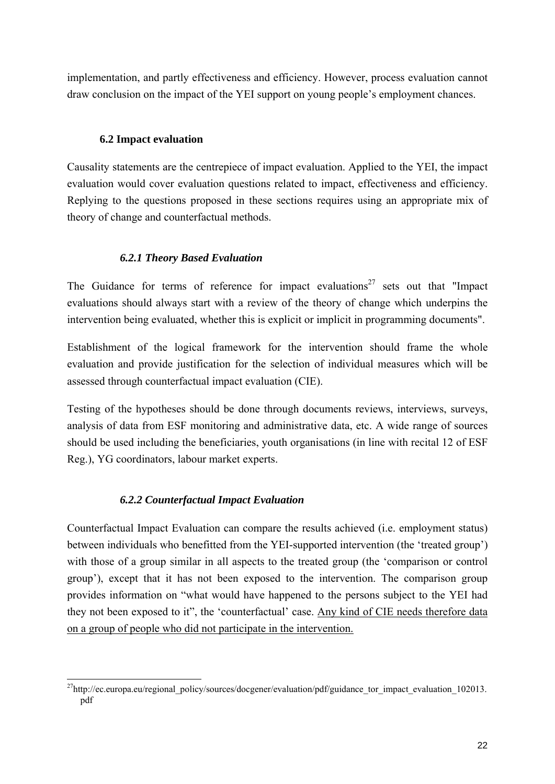implementation, and partly effectiveness and efficiency. However, process evaluation cannot draw conclusion on the impact of the YEI support on young people's employment chances.

#### **6.2 Impact evaluation**

Causality statements are the centrepiece of impact evaluation. Applied to the YEI, the impact evaluation would cover evaluation questions related to impact, effectiveness and efficiency. Replying to the questions proposed in these sections requires using an appropriate mix of theory of change and counterfactual methods.

## *6.2.1 Theory Based Evaluation*

The Guidance for terms of reference for impact evaluations<sup>27</sup> sets out that "Impact" evaluations should always start with a review of the theory of change which underpins the intervention being evaluated, whether this is explicit or implicit in programming documents".

Establishment of the logical framework for the intervention should frame the whole evaluation and provide justification for the selection of individual measures which will be assessed through counterfactual impact evaluation (CIE).

Testing of the hypotheses should be done through documents reviews, interviews, surveys, analysis of data from ESF monitoring and administrative data, etc. A wide range of sources should be used including the beneficiaries, youth organisations (in line with recital 12 of ESF Reg.), YG coordinators, labour market experts.

## *6.2.2 Counterfactual Impact Evaluation*

Counterfactual Impact Evaluation can compare the results achieved (i.e. employment status) between individuals who benefitted from the YEI-supported intervention (the 'treated group') with those of a group similar in all aspects to the treated group (the 'comparison or control group'), except that it has not been exposed to the intervention. The comparison group provides information on "what would have happened to the persons subject to the YEI had they not been exposed to it", the 'counterfactual' case. Any kind of CIE needs therefore data on a group of people who did not participate in the intervention.

<sup>1</sup> <sup>27</sup>http://ec.europa.eu/regional\_policy/sources/docgener/evaluation/pdf/guidance\_tor\_impact\_evaluation\_102013. pdf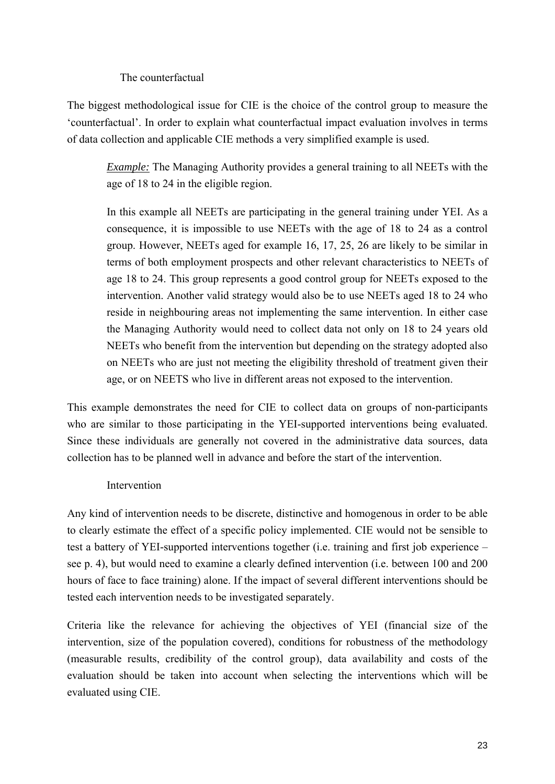#### The counterfactual

The biggest methodological issue for CIE is the choice of the control group to measure the 'counterfactual'. In order to explain what counterfactual impact evaluation involves in terms of data collection and applicable CIE methods a very simplified example is used.

*Example:* The Managing Authority provides a general training to all NEETs with the age of 18 to 24 in the eligible region.

In this example all NEETs are participating in the general training under YEI. As a consequence, it is impossible to use NEETs with the age of 18 to 24 as a control group. However, NEETs aged for example 16, 17, 25, 26 are likely to be similar in terms of both employment prospects and other relevant characteristics to NEETs of age 18 to 24. This group represents a good control group for NEETs exposed to the intervention. Another valid strategy would also be to use NEETs aged 18 to 24 who reside in neighbouring areas not implementing the same intervention. In either case the Managing Authority would need to collect data not only on 18 to 24 years old NEETs who benefit from the intervention but depending on the strategy adopted also on NEETs who are just not meeting the eligibility threshold of treatment given their age, or on NEETS who live in different areas not exposed to the intervention.

This example demonstrates the need for CIE to collect data on groups of non-participants who are similar to those participating in the YEI-supported interventions being evaluated. Since these individuals are generally not covered in the administrative data sources, data collection has to be planned well in advance and before the start of the intervention.

#### Intervention

Any kind of intervention needs to be discrete, distinctive and homogenous in order to be able to clearly estimate the effect of a specific policy implemented. CIE would not be sensible to test a battery of YEI-supported interventions together (i.e. training and first job experience – see p. 4), but would need to examine a clearly defined intervention (i.e. between 100 and 200 hours of face to face training) alone. If the impact of several different interventions should be tested each intervention needs to be investigated separately.

Criteria like the relevance for achieving the objectives of YEI (financial size of the intervention, size of the population covered), conditions for robustness of the methodology (measurable results, credibility of the control group), data availability and costs of the evaluation should be taken into account when selecting the interventions which will be evaluated using CIE.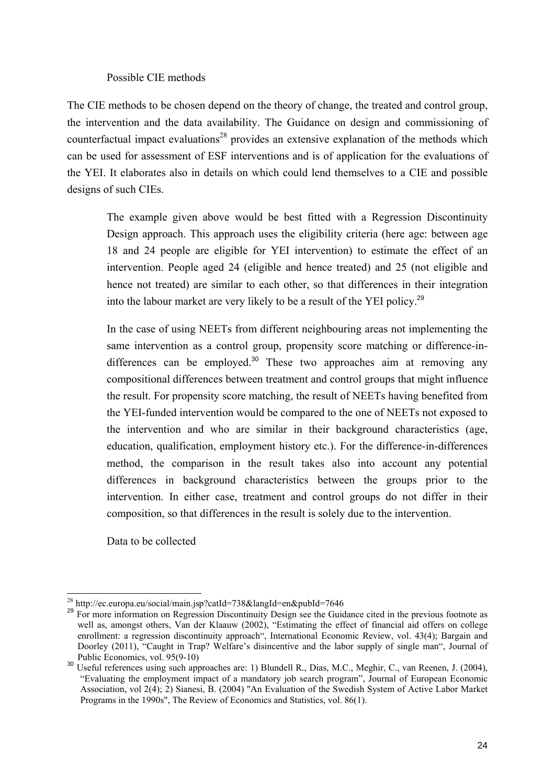#### Possible CIE methods

The CIE methods to be chosen depend on the theory of change, the treated and control group, the intervention and the data availability. The Guidance on design and commissioning of counterfactual impact evaluations<sup>28</sup> provides an extensive explanation of the methods which can be used for assessment of ESF interventions and is of application for the evaluations of the YEI. It elaborates also in details on which could lend themselves to a CIE and possible designs of such CIEs.

The example given above would be best fitted with a Regression Discontinuity Design approach. This approach uses the eligibility criteria (here age: between age 18 and 24 people are eligible for YEI intervention) to estimate the effect of an intervention. People aged 24 (eligible and hence treated) and 25 (not eligible and hence not treated) are similar to each other, so that differences in their integration into the labour market are very likely to be a result of the YEI policy.<sup>29</sup>

In the case of using NEETs from different neighbouring areas not implementing the same intervention as a contro[l group, propensity score matching or difference-in](http://ideas.repec.org/a/tpr/restat/v86y2004i1p133-155.html)differences can be employed.<sup>30</sup> These two approaches aim at removing any compositional differences between treatment and control groups that might influence the result. For propensity score matching, the result of NEETs having benefited from the YEI-funded intervention would be compared to the one of NEETs not exposed to the intervention and who are similar in their background characteristics (age, education, qualification, employment history etc.). For the difference-in-differences method, the comparison in the result takes also into account any potential differences in background characteristics between the groups prior to the intervention. In either case, treatment and control groups do not differ in their composition, so that differences in the result is solely due to the intervention.

Data to be collected

<sup>-</sup>

<sup>&</sup>lt;sup>28</sup> http://ec.europa.eu/social/main.jsp?catId=738&langId=en&pubId=7646<br><sup>29</sup> For more information on Regression Discontinuity Design see the Guidance cited in the previous footnote as well as, amongst others, Van der Klaauw (2002), "Estimating the effect of financial aid offers on college enrollment: a regression discontinuity approach", International Economic Review, vol. 43(4); Bargain and Doorley (2011), "Caught in Trap? Welfare's disincentive and the labor supply of single man", Journal of

Public Economics, vol. 95(9-10) 30 Useful references using such approaches are: 1) Blundell R., Dias, M.C., Meghir, C., van Reenen, J. (2004), "Evaluating the employment impact of a mandatory job search program", Journal of European Economic Association, vol 2(4); 2) Sianesi, B. (2004) "An Evaluation of the Swedish System of Active Labor Market [Programs in the 1990s"](http://ideas.repec.org/a/tpr/restat/v86y2004i1p133-155.html)[, The Review of Economics and Statistics,](http://ideas.repec.org/s/tpr/restat.html) vol. 86(1).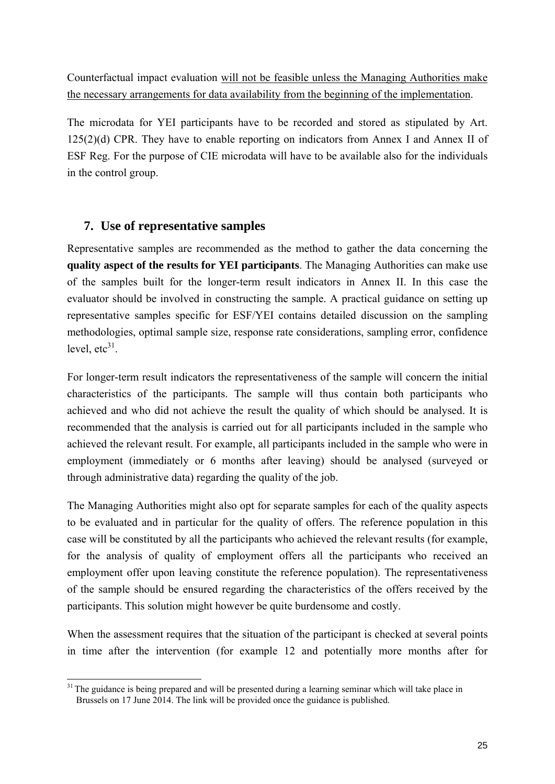Counterfactual impact evaluation will not be feasible unless the Managing Authorities make the necessary arrangements for data availability from the beginning of the implementation.

The microdata for YEI participants have to be recorded and stored as stipulated by Art. 125(2)(d) CPR. They have to enable reporting on indicators from Annex I and Annex II of ESF Reg. For the purpose of CIE microdata will have to be available also for the individuals in the control group.

## **7. Use of representative samples**

<span id="page-24-0"></span>Representative samples are recommended as the method to gather the data concerning the **quality aspect of the results for YEI participants**. The Managing Authorities can make use of the samples built for the longer-term result indicators in Annex II. In this case the evaluator should be involved in constructing the sample. A practical guidance on setting up representative samples specific for ESF/YEI contains detailed discussion on the sampling methodologies, optimal sample size, response rate considerations, sampling error, confidence level,  $etc<sup>31</sup>$ .

For longer-term result indicators the representativeness of the sample will concern the initial characteristics of the participants. The sample will thus contain both participants who achieved and who did not achieve the result the quality of which should be analysed. It is recommended that the analysis is carried out for all participants included in the sample who achieved the relevant result. For example, all participants included in the sample who were in employment (immediately or 6 months after leaving) should be analysed (surveyed or through administrative data) regarding the quality of the job.

The Managing Authorities might also opt for separate samples for each of the quality aspects to be evaluated and in particular for the quality of offers. The reference population in this case will be constituted by all the participants who achieved the relevant results (for example, for the analysis of quality of employment offers all the participants who received an employment offer upon leaving constitute the reference population). The representativeness of the sample should be ensured regarding the characteristics of the offers received by the participants. This solution might however be quite burdensome and costly.

When the assessment requires that the situation of the participant is checked at several points in time after the intervention (for example 12 and potentially more months after for

<sup>1</sup> <sup>31</sup> The guidance is being prepared and will be presented during a learning seminar which will take place in Brussels on 17 June 2014. The link will be provided once the guidance is published.